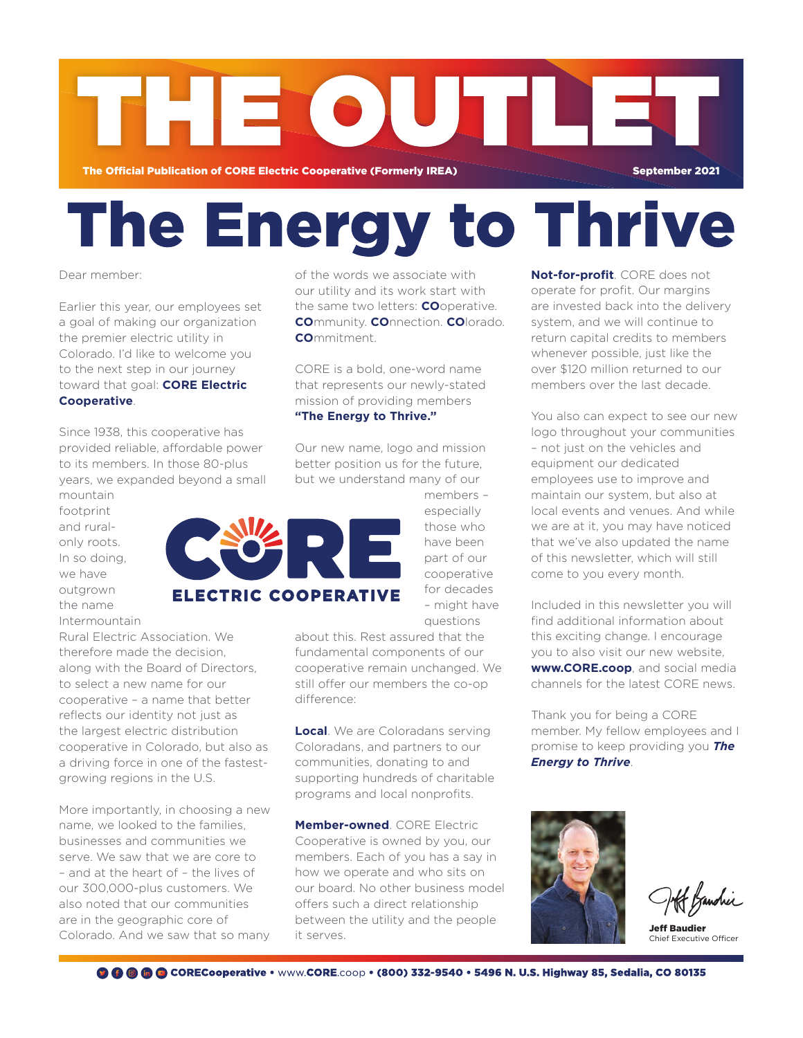

# The Energy to Thrive

# Dear member:

Earlier this year, our employees set a goal of making our organization the premier electric utility in Colorado. I'd like to welcome you to the next step in our journey toward that goal: **CORE Electric Cooperative**.

Since 1938, this cooperative has provided reliable, affordable power to its members. In those 80-plus years, we expanded beyond a small

mountain footprint and ruralonly roots. In so doing, we have outgrown the name Intermountain

Rural Electric Association. We therefore made the decision, along with the Board of Directors, to select a new name for our cooperative – a name that better reflects our identity not just as the largest electric distribution cooperative in Colorado, but also as a driving force in one of the fastestgrowing regions in the U.S.

More importantly, in choosing a new name, we looked to the families, businesses and communities we serve. We saw that we are core to – and at the heart of – the lives of our 300,000-plus customers. We also noted that our communities are in the geographic core of Colorado. And we saw that so many of the words we associate with our utility and its work start with the same two letters: **CO**operative. **CO**mmunity. **CO**nnection. **CO**lorado. **CO**mmitment.

CORE is a bold, one-word name that represents our newly-stated mission of providing members **"The Energy to Thrive."**

Our new name, logo and mission better position us for the future, but we understand many of our

> especially those who have been part of our cooperative for decades – might have questions

about this. Rest assured that the fundamental components of our cooperative remain unchanged. We still offer our members the co-op difference:

**Local**. We are Coloradans serving Coloradans, and partners to our communities, donating to and supporting hundreds of charitable programs and local nonprofits.

**Member-owned**. CORE Electric Cooperative is owned by you, our members. Each of you has a say in how we operate and who sits on our board. No other business model offers such a direct relationship between the utility and the people it serves.

**Not-for-profit**. CORE does not operate for profit. Our margins are invested back into the delivery system, and we will continue to return capital credits to members whenever possible, just like the over \$120 million returned to our members over the last decade.

You also can expect to see our new logo throughout your communities – not just on the vehicles and equipment our dedicated employees use to improve and maintain our system, but also at local events and venues. And while we are at it, you may have noticed that we've also updated the name of this newsletter, which will still come to you every month.

Included in this newsletter you will find additional information about this exciting change. I encourage you to also visit our new website, **www.CORE.coop**, and social media channels for the latest CORE news.

Thank you for being a CORE member. My fellow employees and I promise to keep providing you *The Energy to Thrive*.



Af Kandrer

Jeff Baudier Chief Executive Officer